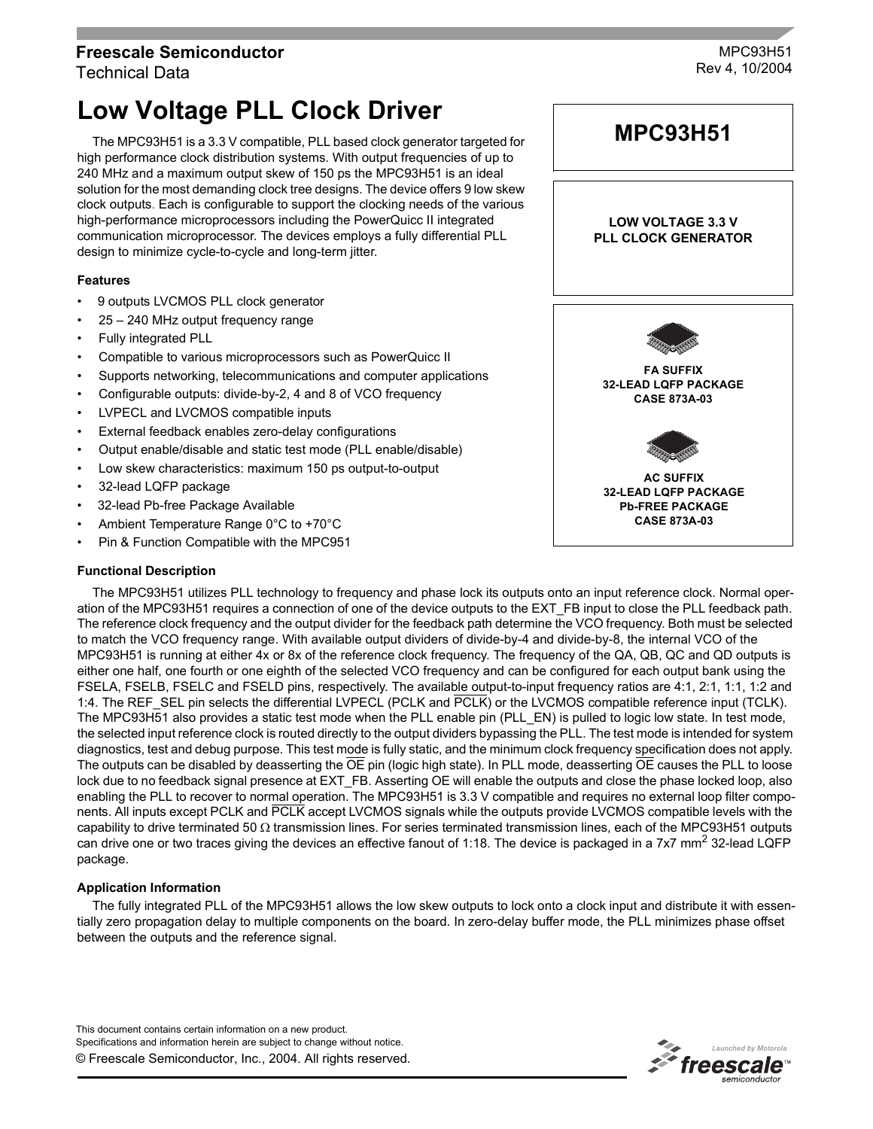# **Freescale Semiconductor** Technical Data

MPC93H51 Rev 4, 10/2004

# **Low Voltage PLL Clock Driver**

The MPC93H51 is a 3.3 V compatible, PLL based clock generator targeted for high performance clock distribution systems. With output frequencies of up to 240 MHz and a maximum output skew of 150 ps the MPC93H51 is an ideal solution for the most demanding clock tree designs. The device offers 9 low skew clock outputs. Each is configurable to support the clocking needs of the various high-performance microprocessors including the PowerQuicc II integrated communication microprocessor. The devices employs a fully differential PLL design to minimize cycle-to-cycle and long-term jitter.

#### **Features**

- 9 outputs LVCMOS PLL clock generator
- 25 240 MHz output frequency range
- Fully integrated PLL
- Compatible to various microprocessors such as PowerQuicc II
- Supports networking, telecommunications and computer applications
- Configurable outputs: divide-by-2, 4 and 8 of VCO frequency
- LVPECL and LVCMOS compatible inputs
- External feedback enables zero-delay configurations
- Output enable/disable and static test mode (PLL enable/disable)
- Low skew characteristics: maximum 150 ps output-to-output
- 32-lead LQFP package
- 32-lead Pb-free Package Available
- Ambient Temperature Range 0°C to +70°C
- Pin & Function Compatible with the MPC951

#### **Functional Description**

The MPC93H51 utilizes PLL technology to frequency and phase lock its outputs onto an input reference clock. Normal operation of the MPC93H51 requires a connection of one of the device outputs to the EXT\_FB input to close the PLL feedback path. The reference clock frequency and the output divider for the feedback path determine the VCO frequency. Both must be selected to match the VCO frequency range. With available output dividers of divide-by-4 and divide-by-8, the internal VCO of the MPC93H51 is running at either 4x or 8x of the reference clock frequency. The frequency of the QA, QB, QC and QD outputs is either one half, one fourth or one eighth of the selected VCO frequency and can be configured for each output bank using the FSELA, FSELB, FSELC and FSELD pins, respectively. The available output-to-input frequency ratios are 4:1, 2:1, 1:1, 1:2 and 1:4. The REF\_SEL pin selects the differential LVPECL (PCLK and PCLK) or the LVCMOS compatible reference input (TCLK). The MPC93H51 also provides a static test mode when the PLL enable pin (PLL\_EN) is pulled to logic low state. In test mode, the selected input reference clock is routed directly to the output dividers bypassing the PLL. The test mode is intended for system diagnostics, test and debug purpose. This test mode is fully static, and the minimum clock frequency specification does not apply. The outputs can be disabled by deasserting the OE pin (logic high state). In PLL mode, deasserting OE causes the PLL to loose lock due to no feedback signal presence at EXT\_FB. Asserting OE will enable the outputs and close the phase locked loop, also enabling the PLL to recover to normal operation. The MPC93H51 is 3.3 V compatible and requires no external loop filter components. All inputs except PCLK and PCLK accept LVCMOS signals while the outputs provide LVCMOS compatible levels with the capability to drive terminated 50  $\Omega$  transmission lines. For series terminated transmission lines, each of the MPC93H51 outputs can drive one or two traces giving the devices an effective fanout of 1:18. The device is packaged in a  $7\times7$  mm<sup>2</sup> 32-lead LQFP package.

#### **Application Information**

The fully integrated PLL of the MPC93H51 allows the low skew outputs to lock onto a clock input and distribute it with essentially zero propagation delay to multiple components on the board. In zero-delay buffer mode, the PLL minimizes phase offset between the outputs and the reference signal.

© Freescale Semiconductor, Inc., 2004. All rights reserved. This document contains certain information on a new product. Specifications and information herein are subject to change without notice.



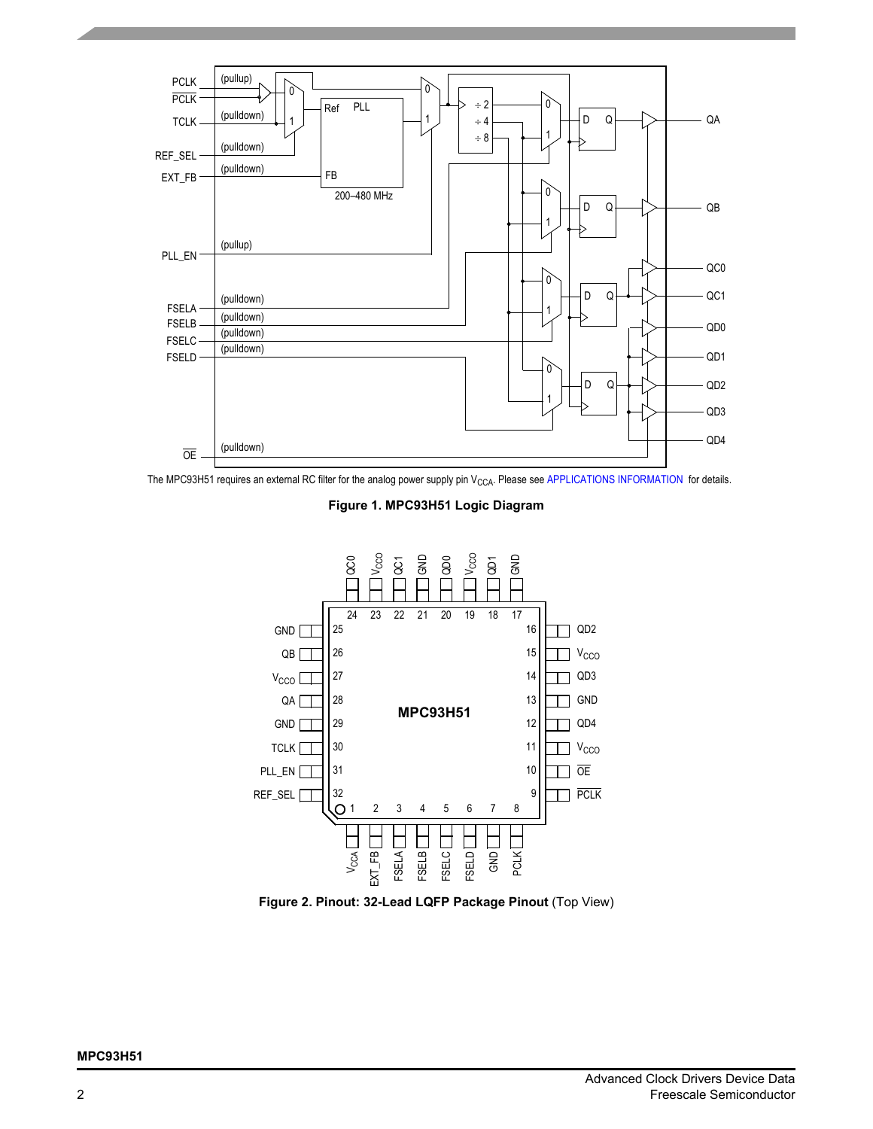

The MPC93H51 requires an external RC filter for the analog power supply pin  $V_{CCA}$ . Please see [APPLICATIONS INFORMATION](#page-5-0) for details.

**Figure 1. MPC93H51 Logic Diagram**



**Figure 2. Pinout: 32-Lead LQFP Package Pinout** (Top View)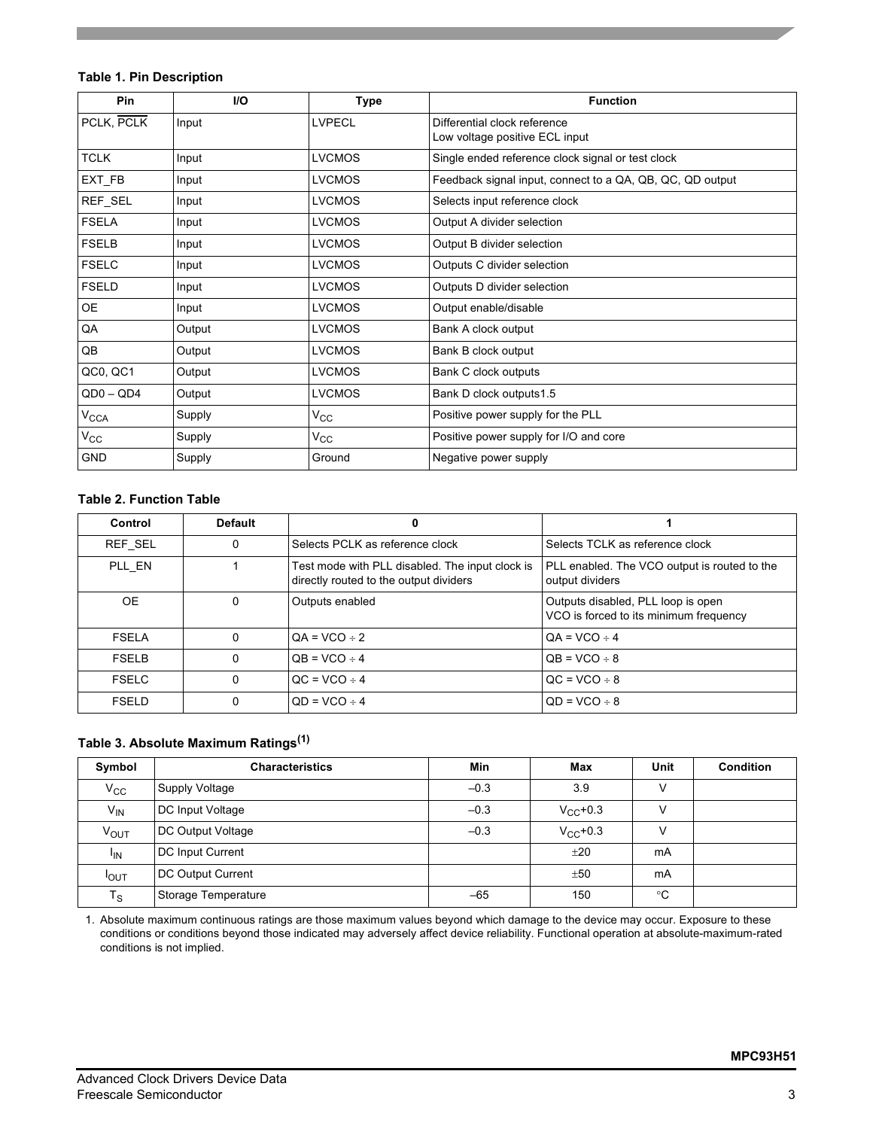# **Table 1. Pin Description**

| Pin              | <b>I/O</b> | Type          | <b>Function</b>                                                |
|------------------|------------|---------------|----------------------------------------------------------------|
| PCLK, PCLK       | Input      | <b>LVPECL</b> | Differential clock reference<br>Low voltage positive ECL input |
| <b>TCLK</b>      | Input      | <b>LVCMOS</b> | Single ended reference clock signal or test clock              |
| EXT_FB           | Input      | <b>LVCMOS</b> | Feedback signal input, connect to a QA, QB, QC, QD output      |
| REF_SEL          | Input      | <b>LVCMOS</b> | Selects input reference clock                                  |
| <b>FSELA</b>     | Input      | <b>LVCMOS</b> | Output A divider selection                                     |
| <b>FSELB</b>     | Input      | <b>LVCMOS</b> | Output B divider selection                                     |
| <b>FSELC</b>     | Input      | <b>LVCMOS</b> | Outputs C divider selection                                    |
| <b>FSELD</b>     | Input      | <b>LVCMOS</b> | Outputs D divider selection                                    |
| <b>OE</b>        | Input      | <b>LVCMOS</b> | Output enable/disable                                          |
| QA               | Output     | <b>LVCMOS</b> | Bank A clock output                                            |
| QB               | Output     | <b>LVCMOS</b> | Bank B clock output                                            |
| QC0, QC1         | Output     | <b>LVCMOS</b> | Bank C clock outputs                                           |
| $QD0 - QD4$      | Output     | <b>LVCMOS</b> | Bank D clock outputs1.5                                        |
| V <sub>CCA</sub> | Supply     | $V_{\rm CC}$  | Positive power supply for the PLL                              |
| $V_{\rm CC}$     | Supply     | $V_{\rm CC}$  | Positive power supply for I/O and core                         |
| <b>GND</b>       | Supply     | Ground        | Negative power supply                                          |

# **Table 2. Function Table**

| Control      | <b>Default</b> |                                                                                           |                                                                              |
|--------------|----------------|-------------------------------------------------------------------------------------------|------------------------------------------------------------------------------|
| REF SEL      | 0              | Selects PCLK as reference clock                                                           | Selects TCLK as reference clock                                              |
| PLL EN       |                | Test mode with PLL disabled. The input clock is<br>directly routed to the output dividers | PLL enabled. The VCO output is routed to the<br>output dividers              |
| OE.          | 0              | Outputs enabled                                                                           | Outputs disabled, PLL loop is open<br>VCO is forced to its minimum frequency |
| <b>FSELA</b> | 0              | $OA = VCO \div 2$                                                                         | $OA = VCO \div 4$                                                            |
| <b>FSELB</b> | $\Omega$       | $OB = VCO \div 4$                                                                         | $OB = VCO \div 8$                                                            |
| <b>FSELC</b> | 0              | $OC = VCO \div 4$                                                                         | $OC = VCO \div 8$                                                            |
| <b>FSELD</b> | 0              | $OD = VCO \div 4$                                                                         | $OD = VCO \div 8$                                                            |

# **Table 3. Absolute Maximum Ratings(1)**

| Symbol          | <b>Characteristics</b>  | Min    | Max           | Unit        | <b>Condition</b> |
|-----------------|-------------------------|--------|---------------|-------------|------------------|
| $V_{CC}$        | Supply Voltage          | $-0.3$ | 3.9           |             |                  |
| $V_{IN}$        | DC Input Voltage        | $-0.3$ | $V_{CC}$ +0.3 |             |                  |
| $V_{OUT}$       | DC Output Voltage       | $-0.3$ | $V_{CC}$ +0.3 |             |                  |
| <sup>I</sup> IN | <b>DC Input Current</b> |        | ±20           | mA          |                  |
| <b>POUT</b>     | DC Output Current       |        | ±50           | mA          |                  |
| $T_S$           | Storage Temperature     | $-65$  | 150           | $^{\circ}C$ |                  |

1. Absolute maximum continuous ratings are those maximum values beyond which damage to the device may occur. Exposure to these conditions or conditions beyond those indicated may adversely affect device reliability. Functional operation at absolute-maximum-rated conditions is not implied.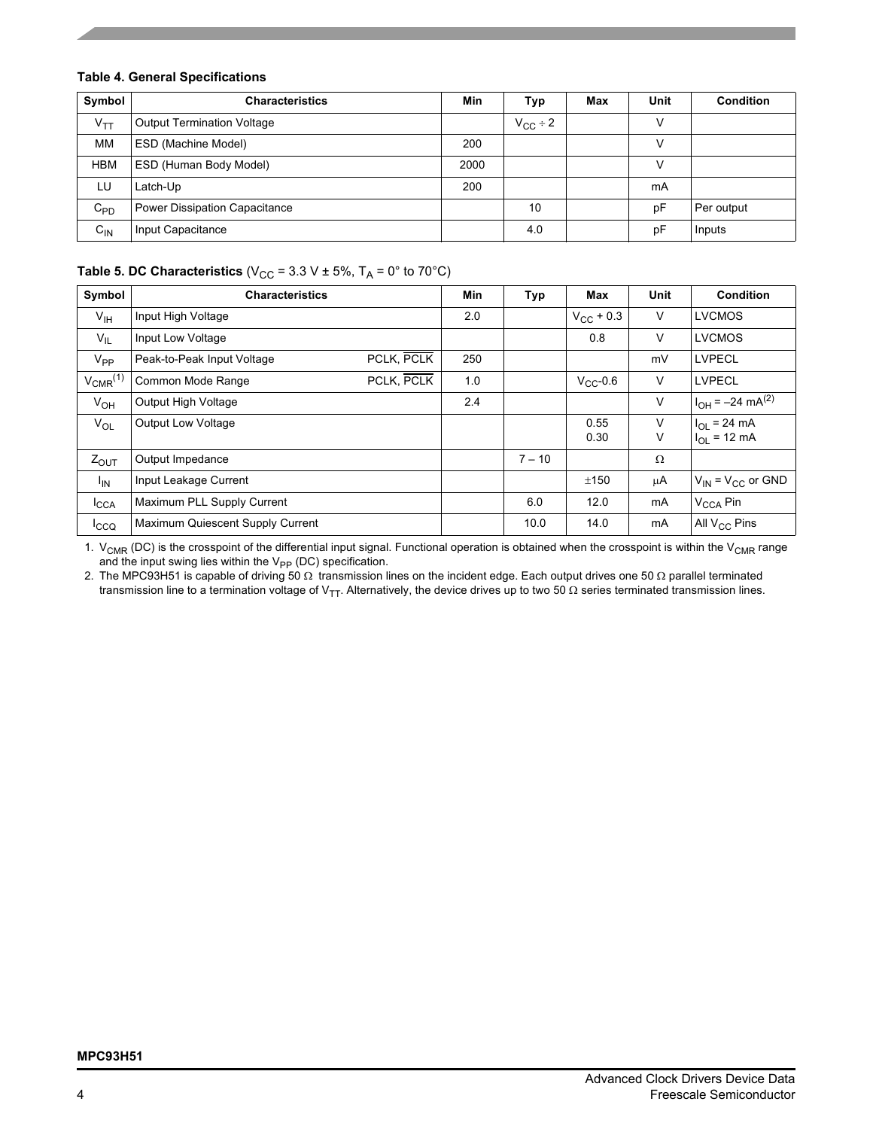#### **Table 4. General Specifications**

| Symbol     | <b>Characteristics</b>            | Min  | Typ                 | Max | Unit   | <b>Condition</b> |
|------------|-----------------------------------|------|---------------------|-----|--------|------------------|
| $V_{TT}$   | <b>Output Termination Voltage</b> |      | $V_{\text{CC}}$ ÷ 2 |     | ν      |                  |
| MМ         | ESD (Machine Model)               | 200  |                     |     | V      |                  |
| <b>HBM</b> | ESD (Human Body Model)            | 2000 |                     |     | $\vee$ |                  |
| LU         | Latch-Up                          | 200  |                     |     | mA     |                  |
| $C_{PD}$   | Power Dissipation Capacitance     |      | 10                  |     | pF     | Per output       |
| $C_{IN}$   | Input Capacitance                 |      | 4.0                 |     | pF     | Inputs           |

# **Table 5. DC Characteristics** ( $V_{CC}$  = 3.3 V  $\pm$  5%, T<sub>A</sub> = 0° to 70°C)

| Symbol                   | <b>Characteristics</b>           |            | Min | Typ      | Max                   | Unit     | <b>Condition</b>                |
|--------------------------|----------------------------------|------------|-----|----------|-----------------------|----------|---------------------------------|
| $V_{\text{IH}}$          | Input High Voltage               |            | 2.0 |          | $V_{\text{CC}}$ + 0.3 | V        | <b>LVCMOS</b>                   |
| $V_{IL}$                 | Input Low Voltage                |            |     |          | 0.8                   | V        | <b>LVCMOS</b>                   |
| $V_{PP}$                 | Peak-to-Peak Input Voltage       | PCLK, PCLK | 250 |          |                       | mV       | <b>LVPECL</b>                   |
| $V_{CMR}$ <sup>(1)</sup> | Common Mode Range                | PCLK, PCLK | 1.0 |          | $V_{CC}$ -0.6         | V        | <b>LVPECL</b>                   |
| $V_{OH}$                 | <b>Output High Voltage</b>       |            | 2.4 |          |                       | V        | $I_{OH} = -24 \text{ mA}^{(2)}$ |
| $V_{OL}$                 | <b>Output Low Voltage</b>        |            |     |          | 0.55                  | V        | $I_{OL}$ = 24 mA                |
|                          |                                  |            |     |          | 0.30                  | V        | $I_{OL}$ = 12 mA                |
| $Z_{OUT}$                | Output Impedance                 |            |     | $7 - 10$ |                       | $\Omega$ |                                 |
| $I_{\text{IN}}$          | Input Leakage Current            |            |     |          | ±150                  | μA       | $V_{IN}$ = $V_{CC}$ or GND      |
| $I_{\text{CCA}}$         | Maximum PLL Supply Current       |            |     | 6.0      | 12.0                  | mA       | V <sub>CCA</sub> Pin            |
| ICCO                     | Maximum Quiescent Supply Current |            |     | 10.0     | 14.0                  | mA       | All V <sub>CC</sub> Pins        |

1.  $V_{CMR}$  (DC) is the crosspoint of the differential input signal. Functional operation is obtained when the crosspoint is within the  $V_{CMR}$  range and the input swing lies within the  $V_{PP}$  (DC) specification.

2. The MPC93H51 is capable of driving 50 Ω transmission lines on the incident edge. Each output drives one 50 Ω parallel terminated transmission line to a termination voltage of V<sub>TT</sub>. Alternatively, the device drives up to two 50 Ω series terminated transmission lines.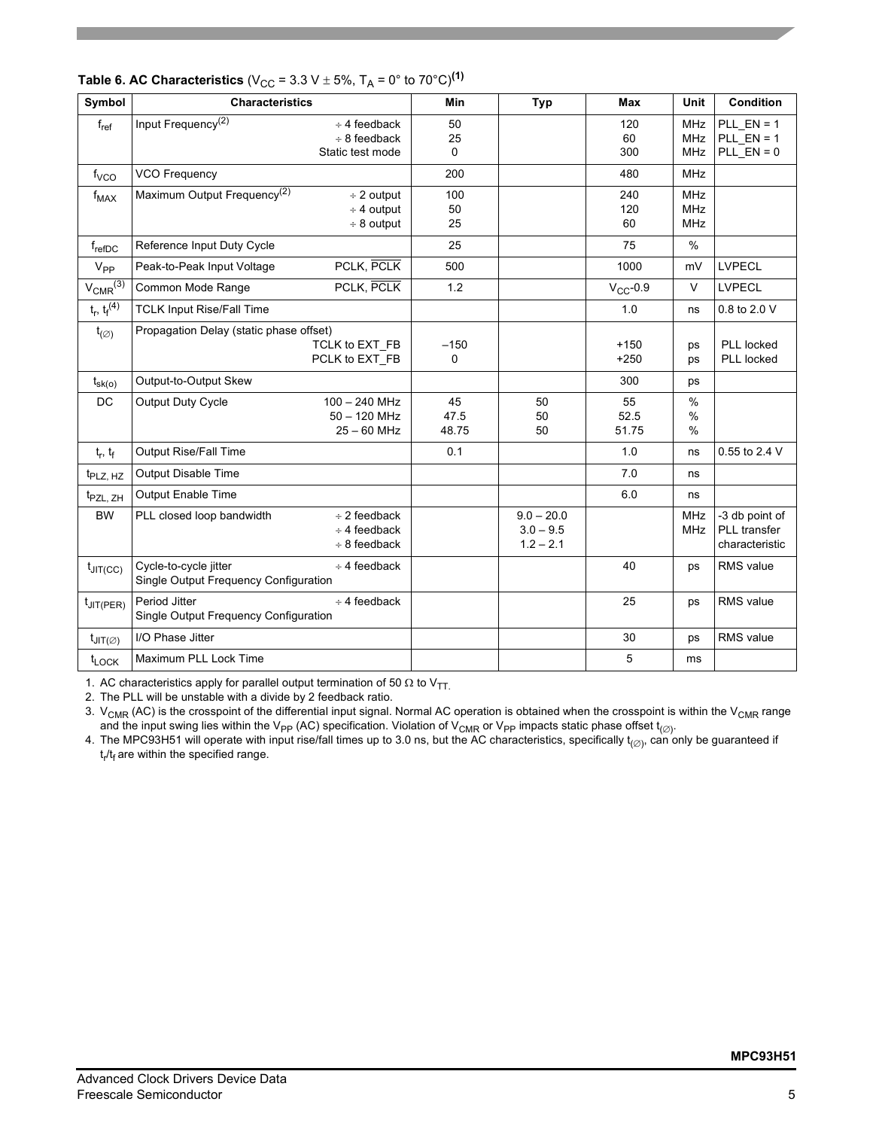| Symbol                        | <b>Characteristics</b>                                                                       |                                                       | Min                     | <b>Typ</b>                                 | <b>Max</b>          | <b>Unit</b>                            | <b>Condition</b>                                 |
|-------------------------------|----------------------------------------------------------------------------------------------|-------------------------------------------------------|-------------------------|--------------------------------------------|---------------------|----------------------------------------|--------------------------------------------------|
| $f_{ref}$                     | Input Frequency <sup>(2)</sup><br>$\div$ 4 feedback<br>$\div$ 8 feedback<br>Static test mode |                                                       | 50<br>25<br>$\mathbf 0$ |                                            | 120<br>60<br>300    | <b>MHz</b><br><b>MHz</b><br>MHz        | PLL $EN = 1$<br>PLL $EN = 1$<br>$PLL$ $EN = 0$   |
| f <sub>VCO</sub>              | <b>VCO Frequency</b>                                                                         |                                                       | 200                     |                                            | 480                 | <b>MHz</b>                             |                                                  |
| $f_{MAX}$                     | Maximum Output Frequency <sup>(2)</sup>                                                      | $\div$ 2 output<br>$\div$ 4 output<br>$\div$ 8 output | 100<br>50<br>25         |                                            | 240<br>120<br>60    | <b>MHz</b><br><b>MHz</b><br><b>MHz</b> |                                                  |
| $f_{\text{refDC}}$            | Reference Input Duty Cycle                                                                   |                                                       | 25                      |                                            | 75                  | $\%$                                   |                                                  |
| $V_{PP}$                      | PCLK, PCLK<br>Peak-to-Peak Input Voltage                                                     |                                                       | 500                     |                                            | 1000                | mV                                     | <b>LVPECL</b>                                    |
| $V_{CMR}$ <sup>(3)</sup>      | PCLK, PCLK<br>Common Mode Range                                                              |                                                       | 1.2                     |                                            | $V_{CC}$ -0.9       | $\vee$                                 | <b>LVPECL</b>                                    |
| $t_r, t_f^{(4)}$              | <b>TCLK Input Rise/Fall Time</b>                                                             |                                                       |                         |                                            | 1.0                 | ns                                     | 0.8 to 2.0 V                                     |
| $t_{(\varnothing)}$           | Propagation Delay (static phase offset)<br>TCLK to EXT_FB<br>PCLK to EXT_FB                  |                                                       | $-150$<br>$\mathbf 0$   |                                            | $+150$<br>$+250$    | ps<br>ps                               | PLL locked<br>PLL locked                         |
| $t_{\rm sk(o)}$               | Output-to-Output Skew                                                                        |                                                       |                         |                                            | 300                 | ps                                     |                                                  |
| DC                            | Output Duty Cycle<br>$100 - 240$ MHz<br>$50 - 120$ MHz<br>$25 - 60$ MHz                      |                                                       | 45<br>47.5<br>48.75     | 50<br>50<br>50                             | 55<br>52.5<br>51.75 | $\%$<br>$\frac{0}{0}$<br>$\%$          |                                                  |
| $t_r, t_f$                    | Output Rise/Fall Time                                                                        |                                                       | 0.1                     |                                            | 1.0                 | ns                                     | 0.55 to 2.4 V                                    |
| t <sub>PLZ, HZ</sub>          | Output Disable Time                                                                          |                                                       |                         |                                            | 7.0                 | ns                                     |                                                  |
| t <sub>PZL, ZH</sub>          | Output Enable Time                                                                           |                                                       |                         |                                            | 6.0                 | ns                                     |                                                  |
| <b>BW</b>                     | PLL closed loop bandwidth<br>$\div$ 2 feedback<br>$\div$ 4 feedback<br>$\div$ 8 feedback     |                                                       |                         | $9.0 - 20.0$<br>$3.0 - 9.5$<br>$1.2 - 2.1$ |                     | <b>MHz</b><br><b>MHz</b>               | -3 db point of<br>PLL transfer<br>characteristic |
| $t_{JIT(CC)}$                 | Cycle-to-cycle jitter<br>$\div$ 4 feedback<br>Single Output Frequency Configuration          |                                                       |                         |                                            | 40                  | ps                                     | RMS value                                        |
| $t_{JIT(PER)}$                | Period Jitter<br>$\div$ 4 feedback<br>Single Output Frequency Configuration                  |                                                       |                         |                                            | 25                  | ps                                     | RMS value                                        |
| $t_{\text{JIT}(\varnothing)}$ | I/O Phase Jitter                                                                             |                                                       |                         |                                            | 30                  | ps                                     | <b>RMS</b> value                                 |
| $t_{\text{LOCK}}$             | Maximum PLL Lock Time                                                                        |                                                       |                         |                                            | 5                   | ms                                     |                                                  |

# **Table 6. AC Characteristics** ( $V_{CC}$  = 3.3 V  $\pm$  5%, T<sub>A</sub> = 0° to 70°C)<sup>(1)</sup>

1. AC characteristics apply for parallel output termination of 50  $\Omega$  to V<sub>TT.</sub>

2. The PLL will be unstable with a divide by 2 feedback ratio.

3.  $\rm{V_{CMR}}$  (AC) is the crosspoint of the differential input signal. Normal AC operation is obtained when the crosspoint is within the  $\rm{V_{CMR}}$  range and the input swing lies within the V<sub>PP</sub> (AC) specification. Violation of V<sub>CMR</sub> or V<sub>PP</sub> impacts static phase offset t<sub>(∅)</sub>.

4. The MPC93H51 will operate with input rise/fall times up to 3.0 ns, but the AC characteristics, specifically t<sub>(∅)</sub>, can only be guaranteed if  $t_r/t_f$  are within the specified range.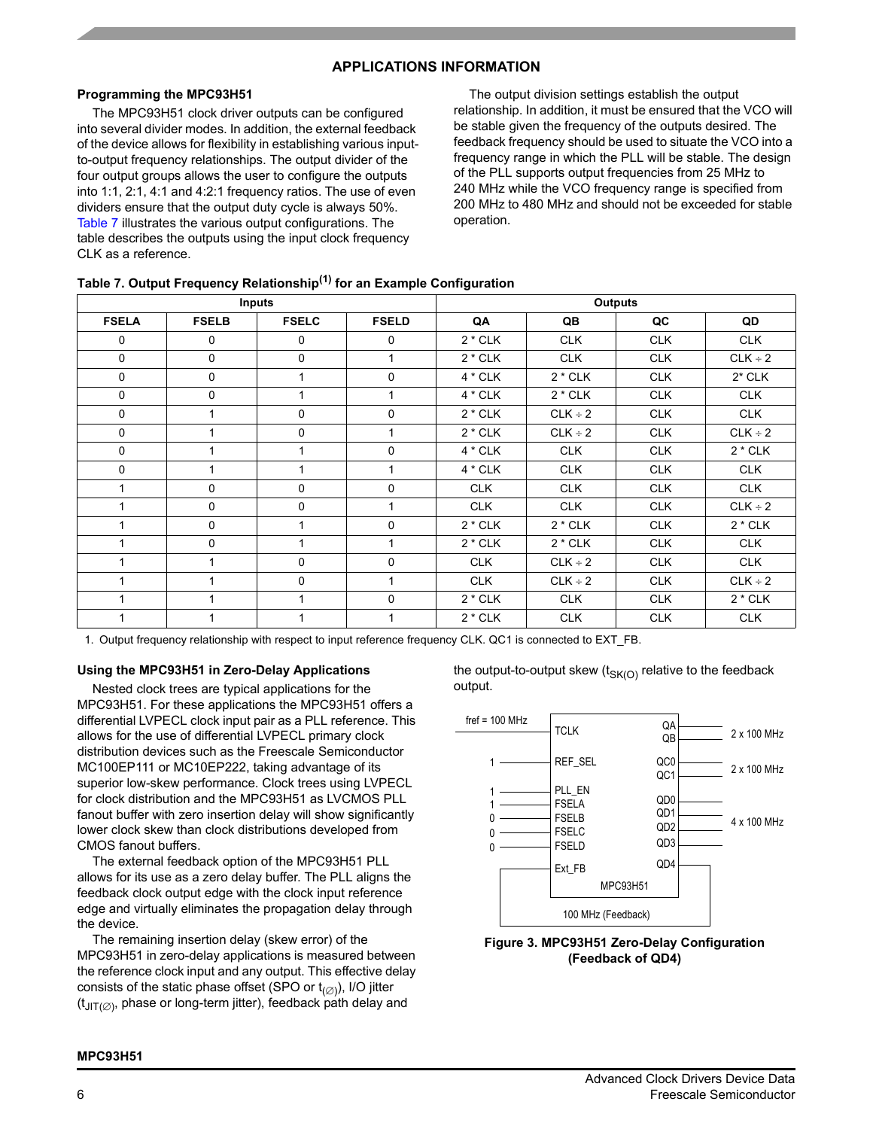### **APPLICATIONS INFORMATION**

#### <span id="page-5-0"></span>**Programming the MPC93H51**

The MPC93H51 clock driver outputs can be configured into several divider modes. In addition, the external feedback of the device allows for flexibility in establishing various inputto-output frequency relationships. The output divider of the four output groups allows the user to configure the outputs into 1:1, 2:1, 4:1 and 4:2:1 frequency ratios. The use of even dividers ensure that the output duty cycle is always 50%. [Table 7](#page-5-1) illustrates the various output configurations. The table describes the outputs using the input clock frequency CLK as a reference.

The output division settings establish the output relationship. In addition, it must be ensured that the VCO will be stable given the frequency of the outputs desired. The feedback frequency should be used to situate the VCO into a frequency range in which the PLL will be stable. The design of the PLL supports output frequencies from 25 MHz to 240 MHz while the VCO frequency range is specified from 200 MHz to 480 MHz and should not be exceeded for stable operation.

|              |              | <b>Inputs</b> |              |            | <b>Outputs</b> |            |              |
|--------------|--------------|---------------|--------------|------------|----------------|------------|--------------|
| <b>FSELA</b> | <b>FSELB</b> | <b>FSELC</b>  | <b>FSELD</b> | QA         | QB             | QC         | QD           |
| 0            | 0            | $\mathbf{0}$  | $\mathbf{0}$ | $2 * CLK$  | <b>CLK</b>     | <b>CLK</b> | <b>CLK</b>   |
| $\mathbf 0$  | $\mathbf 0$  | $\Omega$      | $\mathbf{1}$ | $2 * CLK$  | <b>CLK</b>     | <b>CLK</b> | $CLK \div 2$ |
| $\mathbf 0$  | $\mathbf 0$  |               | 0            | 4 * CLK    | $2 * CLK$      | <b>CLK</b> | $2*$ CLK     |
| 0            | 0            |               | $\mathbf 1$  | 4 * CLK    | $2 * CLK$      | <b>CLK</b> | <b>CLK</b>   |
| 0            | 1            | $\mathbf 0$   | 0            | $2 * CLK$  | $CLK \div 2$   | <b>CLK</b> | <b>CLK</b>   |
| 0            | 1            | 0             | $\mathbf 1$  | $2 * CLK$  | $CLK \div 2$   | <b>CLK</b> | $CLK \div 2$ |
| 0            | 1            | 1             | 0            | 4 * CLK    | <b>CLK</b>     | <b>CLK</b> | $2 * CLK$    |
| 0            | 1            |               | $\mathbf{1}$ | 4 * CLK    | <b>CLK</b>     | <b>CLK</b> | <b>CLK</b>   |
| 1            | $\mathbf 0$  | $\mathbf 0$   | 0            | <b>CLK</b> | <b>CLK</b>     | <b>CLK</b> | <b>CLK</b>   |
| 1            | $\mathbf 0$  | $\mathbf 0$   | $\mathbf 1$  | <b>CLK</b> | <b>CLK</b>     | <b>CLK</b> | $CLK \div 2$ |
| 1            | $\mathbf 0$  |               | 0            | $2 * CLK$  | $2 * CLK$      | <b>CLK</b> | $2 * CLK$    |
| $\mathbf{1}$ | $\mathbf 0$  |               | 1            | $2 * CLK$  | $2 * CLK$      | <b>CLK</b> | <b>CLK</b>   |
| $\mathbf{1}$ | 1            | $\mathbf 0$   | 0            | <b>CLK</b> | $CLK \div 2$   | <b>CLK</b> | <b>CLK</b>   |
| $\mathbf{1}$ | 1            | $\mathbf 0$   | $\mathbf{1}$ | <b>CLK</b> | $CLK \div 2$   | <b>CLK</b> | $CLK \div 2$ |
| $\mathbf{1}$ |              |               | 0            | $2 * CLK$  | <b>CLK</b>     | <b>CLK</b> | $2 * CLK$    |
| 1            | 1            |               | 1            | $2 * CLK$  | <b>CLK</b>     | <b>CLK</b> | <b>CLK</b>   |

<span id="page-5-1"></span>

|  |  | Table 7. Output Frequency Relationship <sup>(1)</sup> for an Example Configuration |
|--|--|------------------------------------------------------------------------------------|
|  |  |                                                                                    |

1. Output frequency relationship with respect to input reference frequency CLK. QC1 is connected to EXT\_FB.

#### **Using the MPC93H51 in Zero-Delay Applications**

Nested clock trees are typical applications for the MPC93H51. For these applications the MPC93H51 offers a differential LVPECL clock input pair as a PLL reference. This allows for the use of differential LVPECL primary clock distribution devices such as the Freescale Semiconductor MC100EP111 or MC10EP222, taking advantage of its superior low-skew performance. Clock trees using LVPECL for clock distribution and the MPC93H51 as LVCMOS PLL fanout buffer with zero insertion delay will show significantly lower clock skew than clock distributions developed from CMOS fanout buffers.

The external feedback option of the MPC93H51 PLL allows for its use as a zero delay buffer. The PLL aligns the feedback clock output edge with the clock input reference edge and virtually eliminates the propagation delay through the device.

The remaining insertion delay (skew error) of the MPC93H51 in zero-delay applications is measured between the reference clock input and any output. This effective delay consists of the static phase offset (SPO or  $t_{(\varnothing)}$ ), I/O jitter  $(t_{\text{JIT}(\emptyset)}$ , phase or long-term jitter), feedback path delay and

the output-to-output skew  $(t_{SK(O)})$  relative to the feedback output.



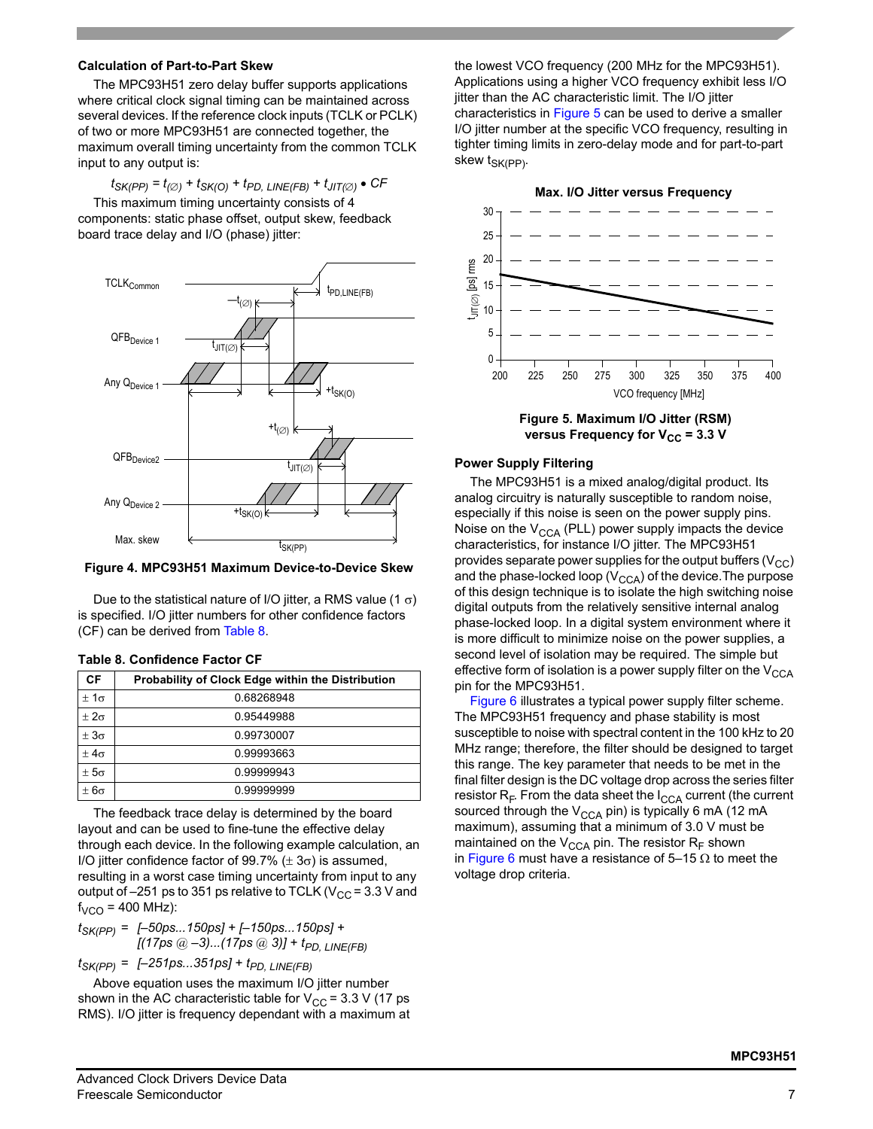#### **Calculation of Part-to-Part Skew**

The MPC93H51 zero delay buffer supports applications where critical clock signal timing can be maintained across several devices. If the reference clock inputs (TCLK or PCLK) of two or more MPC93H51 are connected together, the maximum overall timing uncertainty from the common TCLK input to any output is:

 $t_{SK(PP)} = t_{(Ø)} + t_{SK(O)} + t_{PD, LINE(FB)} + t_{JIT(Ø)}$  • CF

This maximum timing uncertainty consists of 4 components: static phase offset, output skew, feedback board trace delay and I/O (phase) jitter:



**Figure 4. MPC93H51 Maximum Device-to-Device Skew**

Due to the statistical nature of I/O jitter, a RMS value (1  $\sigma$ ) is specified. I/O jitter numbers for other confidence factors (CF) can be derived from [Table 8](#page-6-0).

<span id="page-6-0"></span>

|  | Table 8. Confidence Factor CF |  |  |
|--|-------------------------------|--|--|
|--|-------------------------------|--|--|

| CF               | Probability of Clock Edge within the Distribution |
|------------------|---------------------------------------------------|
| $\pm 1\sigma$    | 0.68268948                                        |
| $\pm 2\sigma$    | 0.95449988                                        |
| $\pm 3\sigma$    | 0.99730007                                        |
| $\pm 4\sigma$    | 0.99993663                                        |
| ± 5 <sub>σ</sub> | 0.99999943                                        |
| $\pm 6\sigma$    | 0.99999999                                        |

The feedback trace delay is determined by the board layout and can be used to fine-tune the effective delay through each device. In the following example calculation, an I/O jitter confidence factor of 99.7% ( $\pm$  3 $\sigma$ ) is assumed, resulting in a worst case timing uncertainty from input to any output of  $-251$  ps to 351 ps relative to TCLK (V<sub>CC</sub> = 3.3 V and  $f_{VCO}$  = 400 MHz):

$$
t_{SK(PP)} = [-50ps...150ps] + [-150ps...150ps] +
$$
  
[(17ps @ -3)...(17ps @ 3)] + t<sub>PD, LINE(FB)</sub>

 $t_{SK(PP)} = [-251ps...351ps] + t_{PD, LINE(FB)}$ 

Above equation uses the maximum I/O jitter number shown in the AC characteristic table for  $V_{CC}$  = 3.3 V (17 ps RMS). I/O jitter is frequency dependant with a maximum at the lowest VCO frequency (200 MHz for the MPC93H51). Applications using a higher VCO frequency exhibit less I/O jitter than the AC characteristic limit. The I/O jitter characteristics in [Figure 5](#page-6-1) can be used to derive a smaller I/O jitter number at the specific VCO frequency, resulting in tighter timing limits in zero-delay mode and for part-to-part skew  $t_{SK(PP)}$ .



**Figure 5. Maximum I/O Jitter (RSM)** versus Frequency for V<sub>CC</sub> = 3.3 V

#### <span id="page-6-1"></span>**Power Supply Filtering**

The MPC93H51 is a mixed analog/digital product. Its analog circuitry is naturally susceptible to random noise, especially if this noise is seen on the power supply pins. Noise on the  $V_{CCA}$  (PLL) power supply impacts the device characteristics, for instance I/O jitter. The MPC93H51 provides separate power supplies for the output buffers  $(V_{CC})$ and the phase-locked loop  $(V_{\text{CCA}})$  of the device. The purpose of this design technique is to isolate the high switching noise digital outputs from the relatively sensitive internal analog phase-locked loop. In a digital system environment where it is more difficult to minimize noise on the power supplies, a second level of isolation may be required. The simple but effective form of isolation is a power supply filter on the  $V_{CCA}$ pin for the MPC93H51.

[Figure 6](#page-7-0) illustrates a typical power supply filter scheme. The MPC93H51 frequency and phase stability is most susceptible to noise with spectral content in the 100 kHz to 20 MHz range; therefore, the filter should be designed to target this range. The key parameter that needs to be met in the final filter design is the DC voltage drop across the series filter resistor  $R_F$ . From the data sheet the  $I_{CCA}$  current (the current sourced through the  $V_{\text{CCA}}$  pin) is typically 6 mA (12 mA maximum), assuming that a minimum of 3.0 V must be maintained on the  $V_{CCA}$  pin. The resistor  $R_F$  shown in [Figure 6](#page-7-0) must have a resistance of  $5-15 \Omega$  to meet the voltage drop criteria.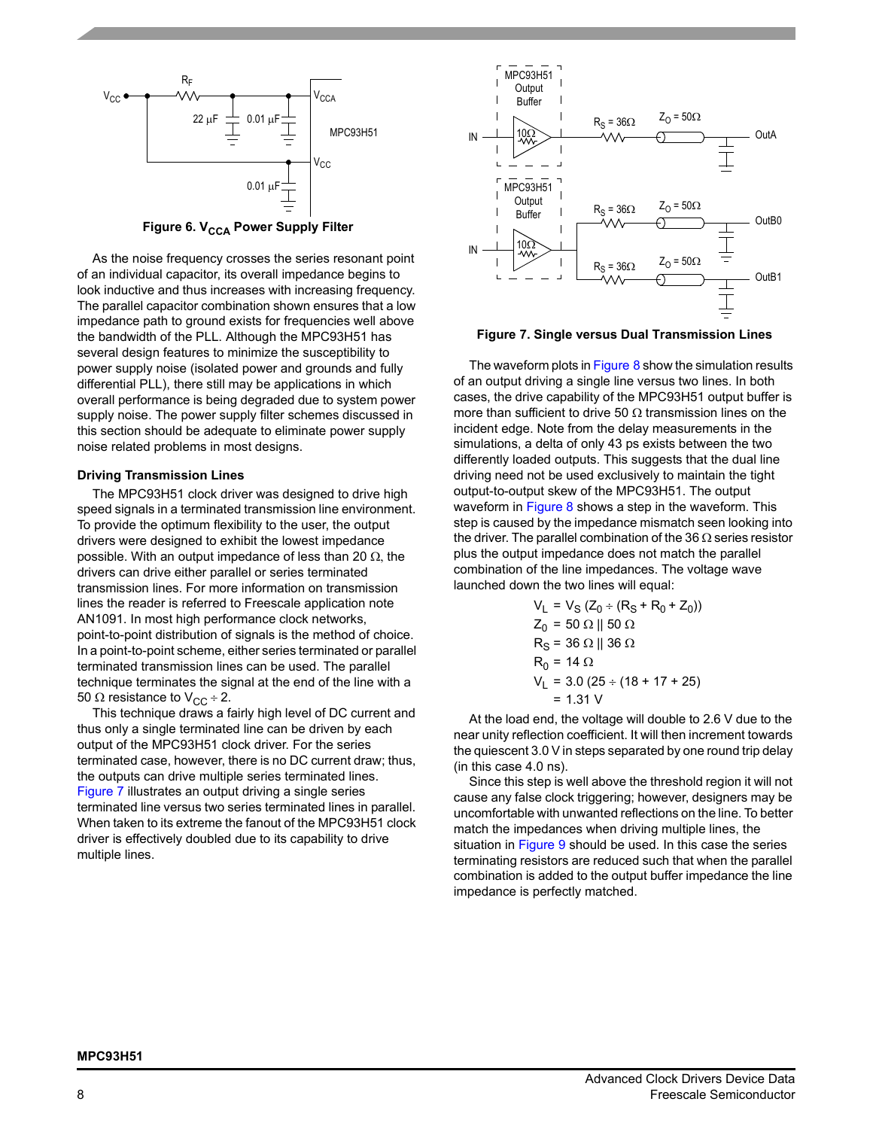

**Figure 6. V<sub>CCA</sub> Power Supply Filter** 

<span id="page-7-0"></span>As the noise frequency crosses the series resonant point of an individual capacitor, its overall impedance begins to look inductive and thus increases with increasing frequency. The parallel capacitor combination shown ensures that a low impedance path to ground exists for frequencies well above the bandwidth of the PLL. Although the MPC93H51 has several design features to minimize the susceptibility to power supply noise (isolated power and grounds and fully differential PLL), there still may be applications in which overall performance is being degraded due to system power supply noise. The power supply filter schemes discussed in this section should be adequate to eliminate power supply noise related problems in most designs.

#### **Driving Transmission Lines**

The MPC93H51 clock driver was designed to drive high speed signals in a terminated transmission line environment. To provide the optimum flexibility to the user, the output drivers were designed to exhibit the lowest impedance possible. With an output impedance of less than 20  $\Omega$ , the drivers can drive either parallel or series terminated transmission lines. For more information on transmission lines the reader is referred to Freescale application note AN1091. In most high performance clock networks, point-to-point distribution of signals is the method of choice. In a point-to-point scheme, either series terminated or parallel terminated transmission lines can be used. The parallel technique terminates the signal at the end of the line with a 50  $\Omega$  resistance to V<sub>CC</sub> ÷ 2.

This technique draws a fairly high level of DC current and thus only a single terminated line can be driven by each output of the MPC93H51 clock driver. For the series terminated case, however, there is no DC current draw; thus, the outputs can drive multiple series terminated lines. [Figure 7](#page-7-1) illustrates an output driving a single series terminated line versus two series terminated lines in parallel. When taken to its extreme the fanout of the MPC93H51 clock driver is effectively doubled due to its capability to drive multiple lines.



<span id="page-7-1"></span>

The waveform plots in [Figure 8](#page-8-0) show the simulation results of an output driving a single line versus two lines. In both cases, the drive capability of the MPC93H51 output buffer is more than sufficient to drive 50  $\Omega$  transmission lines on the incident edge. Note from the delay measurements in the simulations, a delta of only 43 ps exists between the two differently loaded outputs. This suggests that the dual line driving need not be used exclusively to maintain the tight output-to-output skew of the MPC93H51. The output waveform in [Figure 8](#page-8-0) shows a step in the waveform. This step is caused by the impedance mismatch seen looking into the driver. The parallel combination of the 36  $\Omega$  series resistor plus the output impedance does not match the parallel combination of the line impedances. The voltage wave launched down the two lines will equal:

$$
VL = VS (Z0 ÷ (RS + R0 + Z0))
$$
  
Z<sub>0</sub> = 50 Ω || 50 Ω  
R<sub>S</sub> = 36 Ω || 36 Ω  
R<sub>0</sub> = 14 Ω  
R<sub>0</sub> = 14 Ω  
V<sub>L</sub> = 3.0 (25 ÷ (18 + 17 + 25)  
= 1.31 V

At the load end, the voltage will double to 2.6 V due to the near unity reflection coefficient. It will then increment towards the quiescent 3.0 V in steps separated by one round trip delay (in this case 4.0 ns).

Since this step is well above the threshold region it will not cause any false clock triggering; however, designers may be uncomfortable with unwanted reflections on the line. To better match the impedances when driving multiple lines, the situation in [Figure 9](#page-8-1) should be used. In this case the series terminating resistors are reduced such that when the parallel combination is added to the output buffer impedance the line impedance is perfectly matched.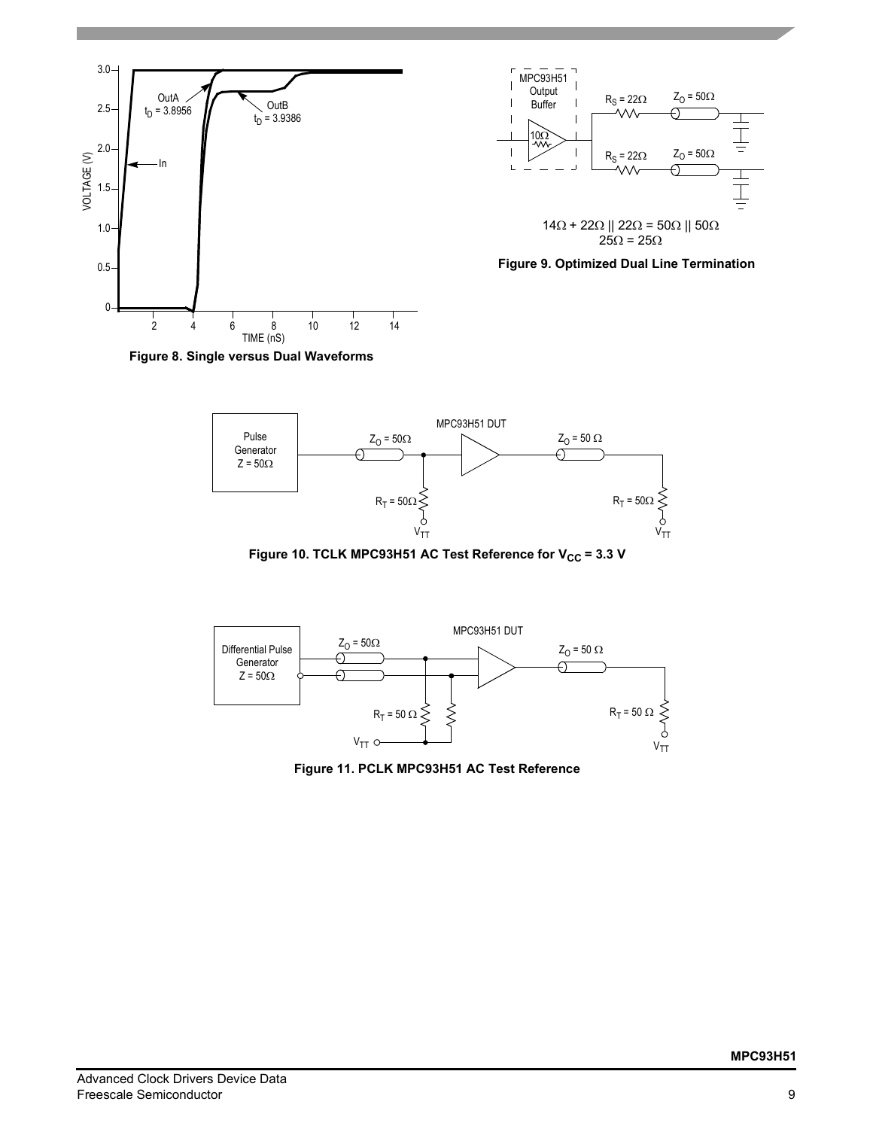



<span id="page-8-1"></span>

<span id="page-8-0"></span>**Figure 8. Single versus Dual Waveforms**



Figure 10. TCLK MPC93H51 AC Test Reference for V<sub>CC</sub> = 3.3 V



**Figure 11. PCLK MPC93H51 AC Test Reference**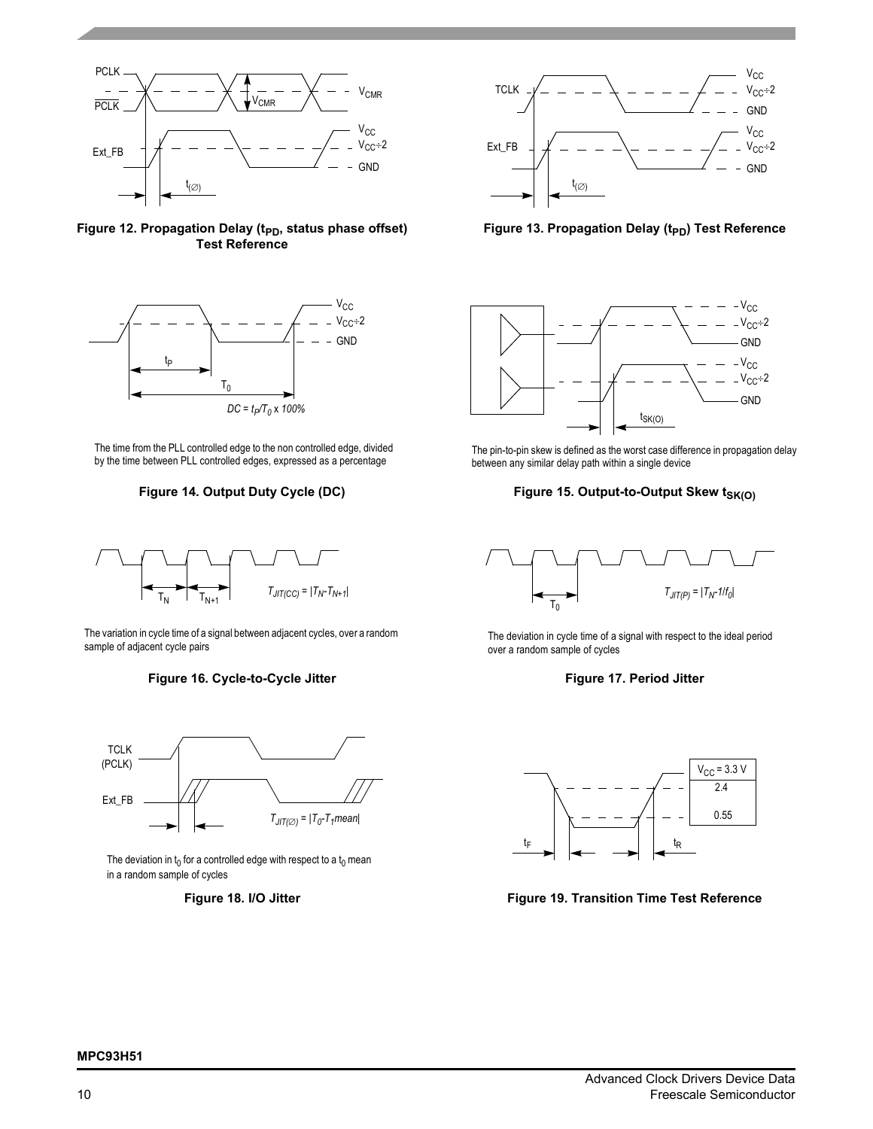

Figure 12. Propagation Delay (t<sub>PD</sub>, status phase offset) **Test Reference**



The time from the PLL controlled edge to the non controlled edge, divided by the time between PLL controlled edges, expressed as a percentage

# **Figure 14. Output Duty Cycle (DC)**



The variation in cycle time of a signal between adjacent cycles, over a random sample of adjacent cycle pairs

#### **Figure 16. Cycle-to-Cycle Jitter Figure 17. Period Jitter**



The deviation in  $t_0$  for a controlled edge with respect to a  $t_0$  mean in a random sample of cycles

**Figure 18. I/O Jitter**



Figure 13. Propagation Delay (t<sub>PD</sub>) Test Reference



The pin-to-pin skew is defined as the worst case difference in propagation delay between any similar delay path within a single device

#### **Figure 15. Output-to-Output Skew t<sub>SK(O)</sub>**



The deviation in cycle time of a signal with respect to the ideal period over a random sample of cycles



**Figure 19. Transition Time Test Reference**

#### **MPC93H51**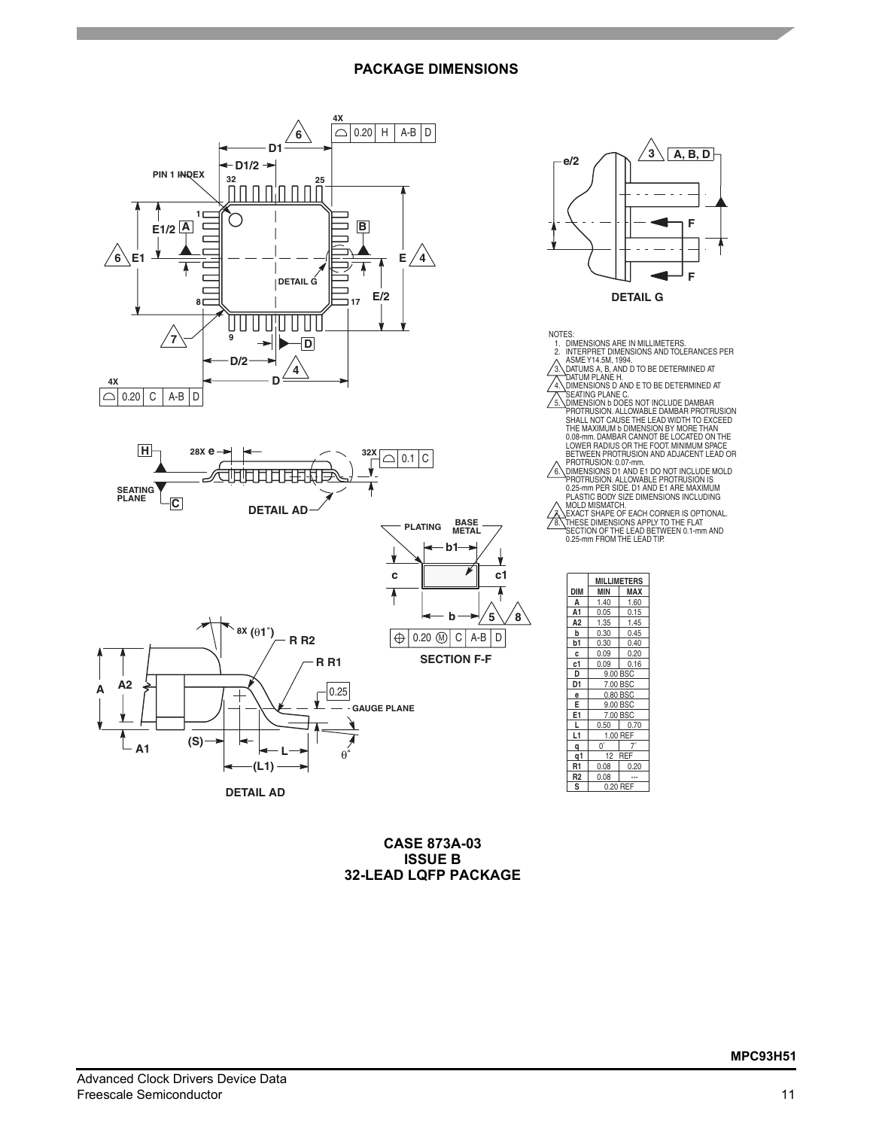# **PACKAGE DIMENSIONS**





**e/2 1**  $\sqrt{3}$   $\sqrt{A, B, D}$ 

|                | <b>MILLIMETERS</b> |                   |  |  |  |
|----------------|--------------------|-------------------|--|--|--|
| <b>DIM</b>     | MIN                | MAX               |  |  |  |
| A              | 1.40               | 1.60              |  |  |  |
| A1             | 0.05               | 0.15              |  |  |  |
| А2             | 1.35               | 1.45              |  |  |  |
| b              | 0.30               | 0.45              |  |  |  |
| b1             | 0.30               | 0.40              |  |  |  |
| c              | 0.09               | 0.20              |  |  |  |
| c1             | 0.09               | 0.16              |  |  |  |
| D              |                    | 9.00 BSC          |  |  |  |
| D1             |                    | 7.00 BSC          |  |  |  |
| e              |                    | 0.80 BSC          |  |  |  |
| Е              |                    | 9.00 BSC          |  |  |  |
| E1             | 7.00 BSC           |                   |  |  |  |
| L              |                    | $0.50 \quad 0.70$ |  |  |  |
| L1             |                    | 1.00 REF          |  |  |  |
| q              | 0°                 | $7^{\circ}$       |  |  |  |
| q1             | 12                 | <b>REF</b>        |  |  |  |
| R <sub>1</sub> | 0.08               | 0.20              |  |  |  |
| R2             | 0.08               |                   |  |  |  |
| S              |                    | 0.20 REF          |  |  |  |

**CASE 873A-03 ISSUE B 32-LEAD LQFP PACKAGE**